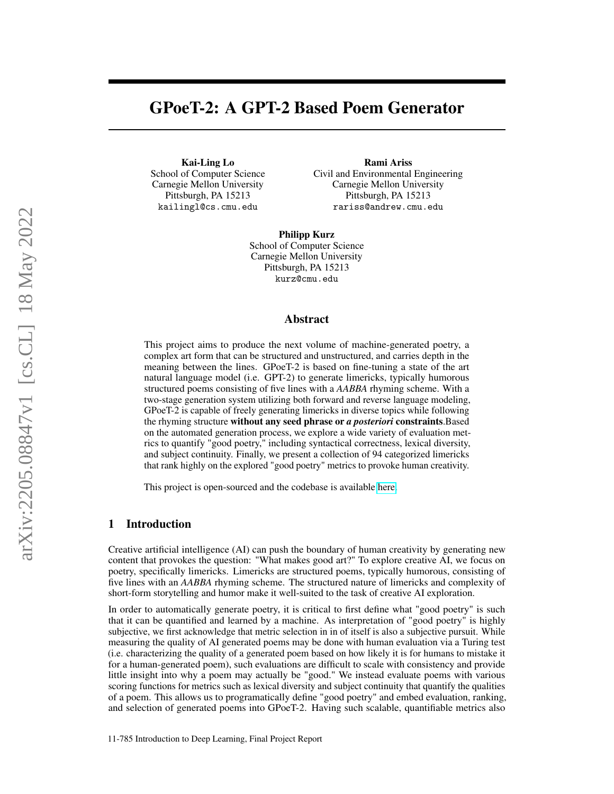# GPoeT-2: A GPT-2 Based Poem Generator

Kai-Ling Lo School of Computer Science Carnegie Mellon University Pittsburgh, PA 15213 kailingl@cs.cmu.edu

Rami Ariss Civil and Environmental Engineering Carnegie Mellon University Pittsburgh, PA 15213 rariss@andrew.cmu.edu

Philipp Kurz School of Computer Science Carnegie Mellon University Pittsburgh, PA 15213 kurz@cmu.edu

## Abstract

This project aims to produce the next volume of machine-generated poetry, a complex art form that can be structured and unstructured, and carries depth in the meaning between the lines. GPoeT-2 is based on fine-tuning a state of the art natural language model (i.e. GPT-2) to generate limericks, typically humorous structured poems consisting of five lines with a *AABBA* rhyming scheme. With a two-stage generation system utilizing both forward and reverse language modeling, GPoeT-2 is capable of freely generating limericks in diverse topics while following the rhyming structure without any seed phrase or *a posteriori* constraints.Based on the automated generation process, we explore a wide variety of evaluation metrics to quantify "good poetry," including syntactical correctness, lexical diversity, and subject continuity. Finally, we present a collection of 94 categorized limericks that rank highly on the explored "good poetry" metrics to provoke human creativity.

This project is open-sourced and the codebase is available [here.](https://github.com/coderalo/11785-automatic-poetry-generation)

## 1 Introduction

Creative artificial intelligence (AI) can push the boundary of human creativity by generating new content that provokes the question: "What makes good art?" To explore creative AI, we focus on poetry, specifically limericks. Limericks are structured poems, typically humorous, consisting of five lines with an *AABBA* rhyming scheme. The structured nature of limericks and complexity of short-form storytelling and humor make it well-suited to the task of creative AI exploration.

In order to automatically generate poetry, it is critical to first define what "good poetry" is such that it can be quantified and learned by a machine. As interpretation of "good poetry" is highly subjective, we first acknowledge that metric selection in in of itself is also a subjective pursuit. While measuring the quality of AI generated poems may be done with human evaluation via a Turing test (i.e. characterizing the quality of a generated poem based on how likely it is for humans to mistake it for a human-generated poem), such evaluations are difficult to scale with consistency and provide little insight into why a poem may actually be "good." We instead evaluate poems with various scoring functions for metrics such as lexical diversity and subject continuity that quantify the qualities of a poem. This allows us to programatically define "good poetry" and embed evaluation, ranking, and selection of generated poems into GPoeT-2. Having such scalable, quantifiable metrics also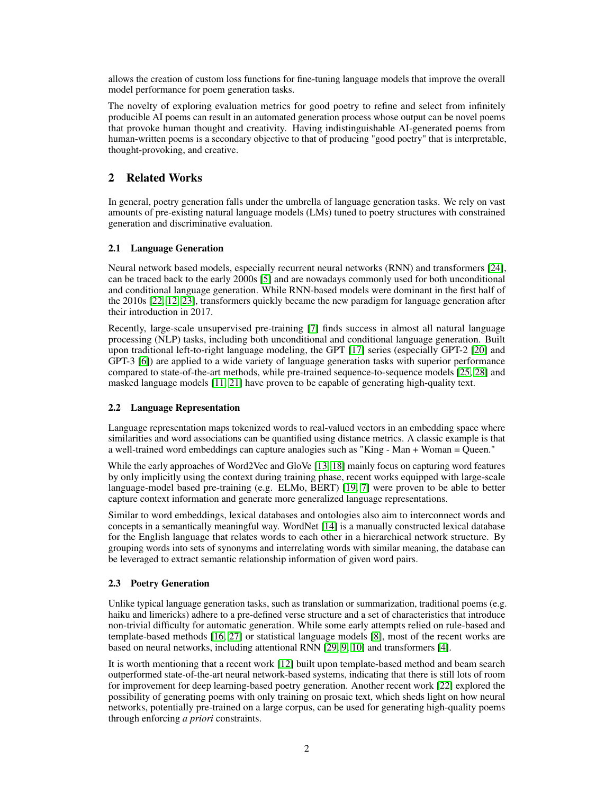allows the creation of custom loss functions for fine-tuning language models that improve the overall model performance for poem generation tasks.

The novelty of exploring evaluation metrics for good poetry to refine and select from infinitely producible AI poems can result in an automated generation process whose output can be novel poems that provoke human thought and creativity. Having indistinguishable AI-generated poems from human-written poems is a secondary objective to that of producing "good poetry" that is interpretable, thought-provoking, and creative.

# 2 Related Works

In general, poetry generation falls under the umbrella of language generation tasks. We rely on vast amounts of pre-existing natural language models (LMs) tuned to poetry structures with constrained generation and discriminative evaluation.

# 2.1 Language Generation

Neural network based models, especially recurrent neural networks (RNN) and transformers [\[24\]](#page-9-0), can be traced back to the early 2000s [\[5\]](#page-8-0) and are nowadays commonly used for both unconditional and conditional language generation. While RNN-based models were dominant in the first half of the 2010s [\[22,](#page-9-1) [12,](#page-9-2) [23\]](#page-9-3), transformers quickly became the new paradigm for language generation after their introduction in 2017.

Recently, large-scale unsupervised pre-training [\[7\]](#page-8-1) finds success in almost all natural language processing (NLP) tasks, including both unconditional and conditional language generation. Built upon traditional left-to-right language modeling, the GPT [\[17\]](#page-9-4) series (especially GPT-2 [\[20\]](#page-9-5) and GPT-3 [\[6\]](#page-8-2)) are applied to a wide variety of language generation tasks with superior performance compared to state-of-the-art methods, while pre-trained sequence-to-sequence models [\[25,](#page-9-6) [28\]](#page-9-7) and masked language models [\[11,](#page-9-8) [21\]](#page-9-9) have proven to be capable of generating high-quality text.

# 2.2 Language Representation

Language representation maps tokenized words to real-valued vectors in an embedding space where similarities and word associations can be quantified using distance metrics. A classic example is that a well-trained word embeddings can capture analogies such as "King - Man + Woman = Queen."

While the early approaches of Word2Vec and GloVe [\[13,](#page-9-10) [18\]](#page-9-11) mainly focus on capturing word features by only implicitly using the context during training phase, recent works equipped with large-scale language-model based pre-training (e.g. ELMo, BERT) [\[19,](#page-9-12) [7\]](#page-8-1) were proven to be able to better capture context information and generate more generalized language representations.

Similar to word embeddings, lexical databases and ontologies also aim to interconnect words and concepts in a semantically meaningful way. WordNet [\[14\]](#page-9-13) is a manually constructed lexical database for the English language that relates words to each other in a hierarchical network structure. By grouping words into sets of synonyms and interrelating words with similar meaning, the database can be leveraged to extract semantic relationship information of given word pairs.

# 2.3 Poetry Generation

Unlike typical language generation tasks, such as translation or summarization, traditional poems (e.g. haiku and limericks) adhere to a pre-defined verse structure and a set of characteristics that introduce non-trivial difficulty for automatic generation. While some early attempts relied on rule-based and template-based methods [\[16,](#page-9-14) [27\]](#page-9-15) or statistical language models [\[8\]](#page-8-3), most of the recent works are based on neural networks, including attentional RNN [\[29,](#page-9-16) [9,](#page-9-17) [10\]](#page-9-18) and transformers [\[4\]](#page-8-4).

It is worth mentioning that a recent work [\[12\]](#page-9-2) built upon template-based method and beam search outperformed state-of-the-art neural network-based systems, indicating that there is still lots of room for improvement for deep learning-based poetry generation. Another recent work [\[22\]](#page-9-1) explored the possibility of generating poems with only training on prosaic text, which sheds light on how neural networks, potentially pre-trained on a large corpus, can be used for generating high-quality poems through enforcing *a priori* constraints.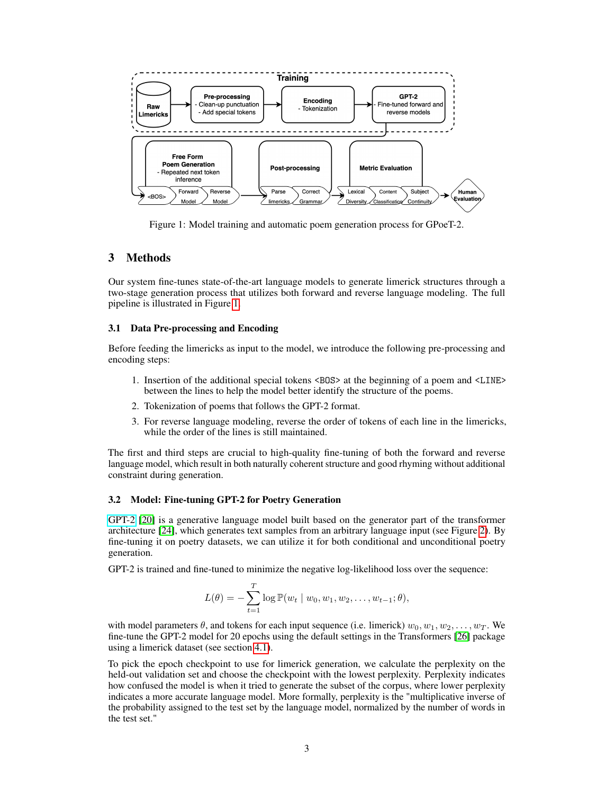<span id="page-2-0"></span>

Figure 1: Model training and automatic poem generation process for GPoeT-2.

## 3 Methods

Our system fine-tunes state-of-the-art language models to generate limerick structures through a two-stage generation process that utilizes both forward and reverse language modeling. The full pipeline is illustrated in Figure [1.](#page-2-0)

#### 3.1 Data Pre-processing and Encoding

Before feeding the limericks as input to the model, we introduce the following pre-processing and encoding steps:

- 1. Insertion of the additional special tokens <BOS> at the beginning of a poem and <LINE> between the lines to help the model better identify the structure of the poems.
- 2. Tokenization of poems that follows the GPT-2 format.
- 3. For reverse language modeling, reverse the order of tokens of each line in the limericks, while the order of the lines is still maintained.

The first and third steps are crucial to high-quality fine-tuning of both the forward and reverse language model, which result in both naturally coherent structure and good rhyming without additional constraint during generation.

#### 3.2 Model: Fine-tuning GPT-2 for Poetry Generation

[GPT-2](https://openai.com/blog/better-language-models/) [\[20\]](#page-9-5) is a generative language model built based on the generator part of the transformer architecture [\[24\]](#page-9-0), which generates text samples from an arbitrary language input (see Figure [2\)](#page-3-0). By fine-tuning it on poetry datasets, we can utilize it for both conditional and unconditional poetry generation.

GPT-2 is trained and fine-tuned to minimize the negative log-likelihood loss over the sequence:

$$
L(\theta) = -\sum_{t=1}^{T} \log \mathbb{P}(w_t | w_0, w_1, w_2, \dots, w_{t-1}; \theta),
$$

with model parameters  $\theta$ , and tokens for each input sequence (i.e. limerick)  $w_0, w_1, w_2, \ldots, w_T$ . We fine-tune the GPT-2 model for 20 epochs using the default settings in the Transformers [\[26\]](#page-9-19) package using a limerick dataset (see section [4.1\)](#page-5-0).

To pick the epoch checkpoint to use for limerick generation, we calculate the perplexity on the held-out validation set and choose the checkpoint with the lowest perplexity. Perplexity indicates how confused the model is when it tried to generate the subset of the corpus, where lower perplexity indicates a more accurate language model. More formally, perplexity is the "multiplicative inverse of the probability assigned to the test set by the language model, normalized by the number of words in the test set."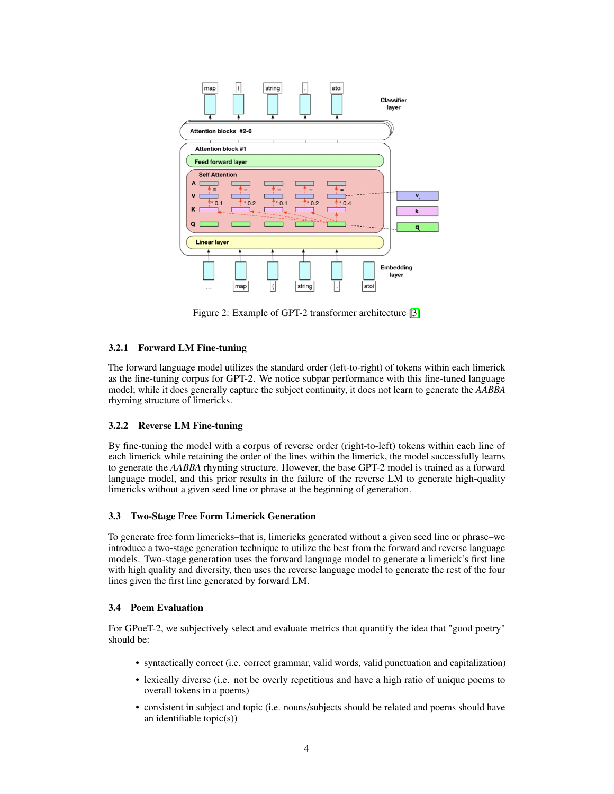<span id="page-3-0"></span>

Figure 2: Example of GPT-2 transformer architecture [\[3\]](#page-8-5)

# 3.2.1 Forward LM Fine-tuning

The forward language model utilizes the standard order (left-to-right) of tokens within each limerick as the fine-tuning corpus for GPT-2. We notice subpar performance with this fine-tuned language model; while it does generally capture the subject continuity, it does not learn to generate the *AABBA* rhyming structure of limericks.

## 3.2.2 Reverse LM Fine-tuning

By fine-tuning the model with a corpus of reverse order (right-to-left) tokens within each line of each limerick while retaining the order of the lines within the limerick, the model successfully learns to generate the *AABBA* rhyming structure. However, the base GPT-2 model is trained as a forward language model, and this prior results in the failure of the reverse LM to generate high-quality limericks without a given seed line or phrase at the beginning of generation.

## 3.3 Two-Stage Free Form Limerick Generation

To generate free form limericks–that is, limericks generated without a given seed line or phrase–we introduce a two-stage generation technique to utilize the best from the forward and reverse language models. Two-stage generation uses the forward language model to generate a limerick's first line with high quality and diversity, then uses the reverse language model to generate the rest of the four lines given the first line generated by forward LM.

## 3.4 Poem Evaluation

For GPoeT-2, we subjectively select and evaluate metrics that quantify the idea that "good poetry" should be:

- syntactically correct (i.e. correct grammar, valid words, valid punctuation and capitalization)
- lexically diverse (i.e. not be overly repetitious and have a high ratio of unique poems to overall tokens in a poems)
- consistent in subject and topic (i.e. nouns/subjects should be related and poems should have an identifiable topic(s))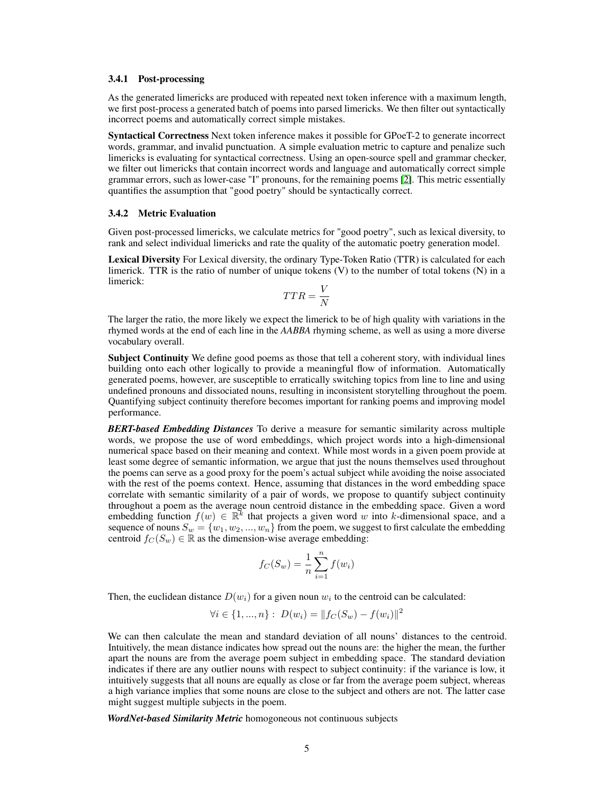#### 3.4.1 Post-processing

As the generated limericks are produced with repeated next token inference with a maximum length, we first post-process a generated batch of poems into parsed limericks. We then filter out syntactically incorrect poems and automatically correct simple mistakes.

Syntactical Correctness Next token inference makes it possible for GPoeT-2 to generate incorrect words, grammar, and invalid punctuation. A simple evaluation metric to capture and penalize such limericks is evaluating for syntactical correctness. Using an open-source spell and grammar checker, we filter out limericks that contain incorrect words and language and automatically correct simple grammar errors, such as lower-case "I" pronouns, for the remaining poems [\[2\]](#page-8-6). This metric essentially quantifies the assumption that "good poetry" should be syntactically correct.

#### 3.4.2 Metric Evaluation

Given post-processed limericks, we calculate metrics for "good poetry", such as lexical diversity, to rank and select individual limericks and rate the quality of the automatic poetry generation model.

Lexical Diversity For Lexical diversity, the ordinary Type-Token Ratio (TTR) is calculated for each limerick. TTR is the ratio of number of unique tokens  $(V)$  to the number of total tokens  $(N)$  in a limerick:

$$
TTR = \frac{V}{N}
$$

The larger the ratio, the more likely we expect the limerick to be of high quality with variations in the rhymed words at the end of each line in the *AABBA* rhyming scheme, as well as using a more diverse vocabulary overall.

Subject Continuity We define good poems as those that tell a coherent story, with individual lines building onto each other logically to provide a meaningful flow of information. Automatically generated poems, however, are susceptible to erratically switching topics from line to line and using undefined pronouns and dissociated nouns, resulting in inconsistent storytelling throughout the poem. Quantifying subject continuity therefore becomes important for ranking poems and improving model performance.

*BERT-based Embedding Distances* To derive a measure for semantic similarity across multiple words, we propose the use of word embeddings, which project words into a high-dimensional numerical space based on their meaning and context. While most words in a given poem provide at least some degree of semantic information, we argue that just the nouns themselves used throughout the poems can serve as a good proxy for the poem's actual subject while avoiding the noise associated with the rest of the poems context. Hence, assuming that distances in the word embedding space correlate with semantic similarity of a pair of words, we propose to quantify subject continuity throughout a poem as the average noun centroid distance in the embedding space. Given a word embedding function  $f(w) \in \mathbb{R}^k$  that projects a given word w into k-dimensional space, and a sequence of nouns  $S_w = \{w_1, w_2, ..., w_n\}$  from the poem, we suggest to first calculate the embedding centroid  $f_C(S_w) \in \mathbb{R}$  as the dimension-wise average embedding:

$$
f_C(S_w) = \frac{1}{n} \sum_{i=1}^{n} f(w_i)
$$

Then, the euclidean distance  $D(w_i)$  for a given noun  $w_i$  to the centroid can be calculated:

$$
\forall i \in \{1, ..., n\} : D(w_i) = ||f_C(S_w) - f(w_i)||^2
$$

We can then calculate the mean and standard deviation of all nouns' distances to the centroid. Intuitively, the mean distance indicates how spread out the nouns are: the higher the mean, the further apart the nouns are from the average poem subject in embedding space. The standard deviation indicates if there are any outlier nouns with respect to subject continuity: if the variance is low, it intuitively suggests that all nouns are equally as close or far from the average poem subject, whereas a high variance implies that some nouns are close to the subject and others are not. The latter case might suggest multiple subjects in the poem.

*WordNet-based Similarity Metric* homogoneous not continuous subjects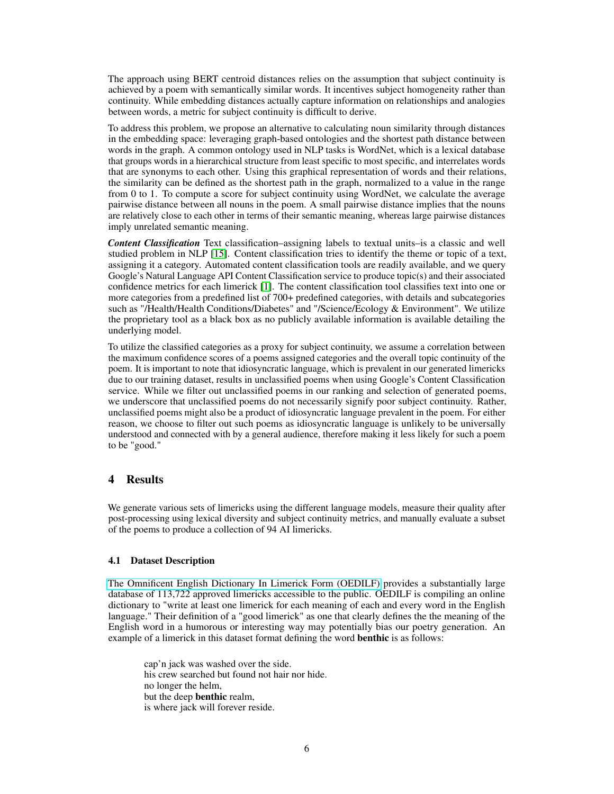The approach using BERT centroid distances relies on the assumption that subject continuity is achieved by a poem with semantically similar words. It incentives subject homogeneity rather than continuity. While embedding distances actually capture information on relationships and analogies between words, a metric for subject continuity is difficult to derive.

To address this problem, we propose an alternative to calculating noun similarity through distances in the embedding space: leveraging graph-based ontologies and the shortest path distance between words in the graph. A common ontology used in NLP tasks is WordNet, which is a lexical database that groups words in a hierarchical structure from least specific to most specific, and interrelates words that are synonyms to each other. Using this graphical representation of words and their relations, the similarity can be defined as the shortest path in the graph, normalized to a value in the range from 0 to 1. To compute a score for subject continuity using WordNet, we calculate the average pairwise distance between all nouns in the poem. A small pairwise distance implies that the nouns are relatively close to each other in terms of their semantic meaning, whereas large pairwise distances imply unrelated semantic meaning.

*Content Classification* Text classification–assigning labels to textual units–is a classic and well studied problem in NLP [\[15\]](#page-9-20). Content classification tries to identify the theme or topic of a text, assigning it a category. Automated content classification tools are readily available, and we query Google's Natural Language API Content Classification service to produce topic(s) and their associated confidence metrics for each limerick [\[1\]](#page-8-7). The content classification tool classifies text into one or more categories from a predefined list of 700+ predefined categories, with details and subcategories such as "/Health/Health Conditions/Diabetes" and "/Science/Ecology & Environment". We utilize the proprietary tool as a black box as no publicly available information is available detailing the underlying model.

To utilize the classified categories as a proxy for subject continuity, we assume a correlation between the maximum confidence scores of a poems assigned categories and the overall topic continuity of the poem. It is important to note that idiosyncratic language, which is prevalent in our generated limericks due to our training dataset, results in unclassified poems when using Google's Content Classification service. While we filter out unclassified poems in our ranking and selection of generated poems, we underscore that unclassified poems do not necessarily signify poor subject continuity. Rather, unclassified poems might also be a product of idiosyncratic language prevalent in the poem. For either reason, we choose to filter out such poems as idiosyncratic language is unlikely to be universally understood and connected with by a general audience, therefore making it less likely for such a poem to be "good."

# 4 Results

We generate various sets of limericks using the different language models, measure their quality after post-processing using lexical diversity and subject continuity metrics, and manually evaluate a subset of the poems to produce a collection of 94 AI limericks.

#### <span id="page-5-0"></span>4.1 Dataset Description

[The Omnificent English Dictionary In Limerick Form \(OEDILF\)](http://www.oedilf.com/db/Lim.php) provides a substantially large database of 113,722 approved limericks accessible to the public. OEDILF is compiling an online dictionary to "write at least one limerick for each meaning of each and every word in the English language." Their definition of a "good limerick" as one that clearly defines the the meaning of the English word in a humorous or interesting way may potentially bias our poetry generation. An example of a limerick in this dataset format defining the word **benthic** is as follows:

cap'n jack was washed over the side. his crew searched but found not hair nor hide. no longer the helm, but the deep benthic realm, is where jack will forever reside.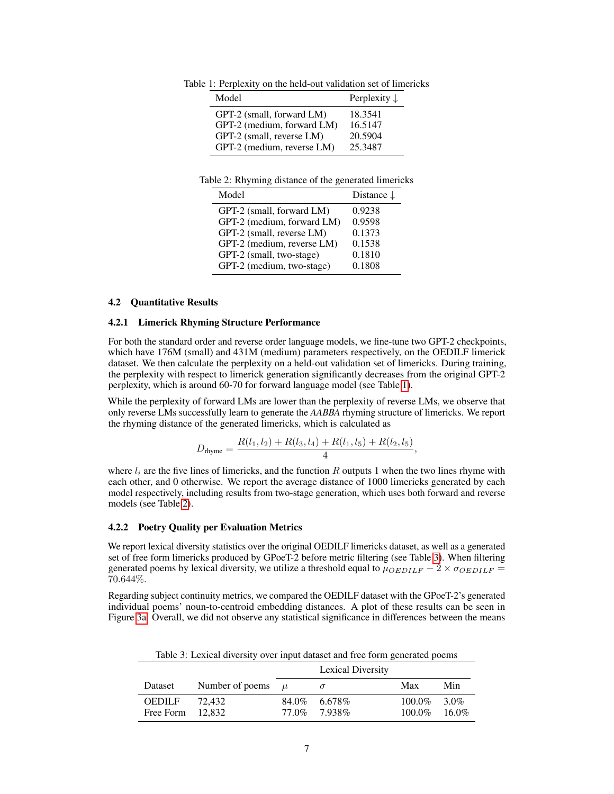<span id="page-6-0"></span>Table 1: Perplexity on the held-out validation set of limericks

| Model                      | Perplexity $\downarrow$ |
|----------------------------|-------------------------|
| GPT-2 (small, forward LM)  | 18.3541                 |
| GPT-2 (medium, forward LM) | 16.5147                 |
| GPT-2 (small, reverse LM)  | 20.5904                 |
| GPT-2 (medium, reverse LM) | 25.3487                 |
|                            |                         |

<span id="page-6-1"></span>Table 2: Rhyming distance of the generated limericks

| Model                      | Distance $\downarrow$ |
|----------------------------|-----------------------|
| GPT-2 (small, forward LM)  | 0.9238                |
| GPT-2 (medium, forward LM) | 0.9598                |
| GPT-2 (small, reverse LM)  | 0.1373                |
| GPT-2 (medium, reverse LM) | 0.1538                |
| GPT-2 (small, two-stage)   | 0.1810                |
| GPT-2 (medium, two-stage)  | 0.1808                |

#### 4.2 Quantitative Results

#### 4.2.1 Limerick Rhyming Structure Performance

For both the standard order and reverse order language models, we fine-tune two GPT-2 checkpoints, which have 176M (small) and 431M (medium) parameters respectively, on the OEDILF limerick dataset. We then calculate the perplexity on a held-out validation set of limericks. During training, the perplexity with respect to limerick generation significantly decreases from the original GPT-2 perplexity, which is around 60-70 for forward language model (see Table [1\)](#page-6-0).

While the perplexity of forward LMs are lower than the perplexity of reverse LMs, we observe that only reverse LMs successfully learn to generate the *AABBA* rhyming structure of limericks. We report the rhyming distance of the generated limericks, which is calculated as

$$
D_{\text{rhyme}} = \frac{R(l_1, l_2) + R(l_3, l_4) + R(l_1, l_5) + R(l_2, l_5)}{4},
$$

where  $l_i$  are the five lines of limericks, and the function R outputs 1 when the two lines rhyme with each other, and 0 otherwise. We report the average distance of 1000 limericks generated by each model respectively, including results from two-stage generation, which uses both forward and reverse models (see Table [2\)](#page-6-1).

#### 4.2.2 Poetry Quality per Evaluation Metrics

We report lexical diversity statistics over the original OEDILF limericks dataset, as well as a generated set of free form limericks produced by GPoeT-2 before metric filtering (see Table [3\)](#page-6-2). When filtering generated poems by lexical diversity, we utilize a threshold equal to  $\mu_{OEDILF} - 2 \times \sigma_{OEDILF} =$ 70.644%.

Regarding subject continuity metrics, we compared the OEDILF dataset with the GPoeT-2's generated individual poems' noun-to-centroid embedding distances. A plot of these results can be seen in Figure [3a.](#page-7-0) Overall, we did not observe any statistical significance in differences between the means

<span id="page-6-2"></span>

| Table 5. EXAMPLE THROUGH THE CHARGE AND TICE TOTHE GENERATOR DOCTILS |                 |       |                                  |                     |                  |  |
|----------------------------------------------------------------------|-----------------|-------|----------------------------------|---------------------|------------------|--|
|                                                                      |                 |       | <b>Lexical Diversity</b>         |                     |                  |  |
| Dataset                                                              | Number of poems | $\mu$ |                                  | Max                 | Min              |  |
| <b>OEDILF</b><br>Free Form $12.832$                                  | 72.432          |       | $84.0\%$ 6.678\%<br>77.0% 7.938% | 100.0%<br>$100.0\%$ | 3.0%<br>$16.0\%$ |  |

Table 3: Lexical diversity over input dataset and free form generated poems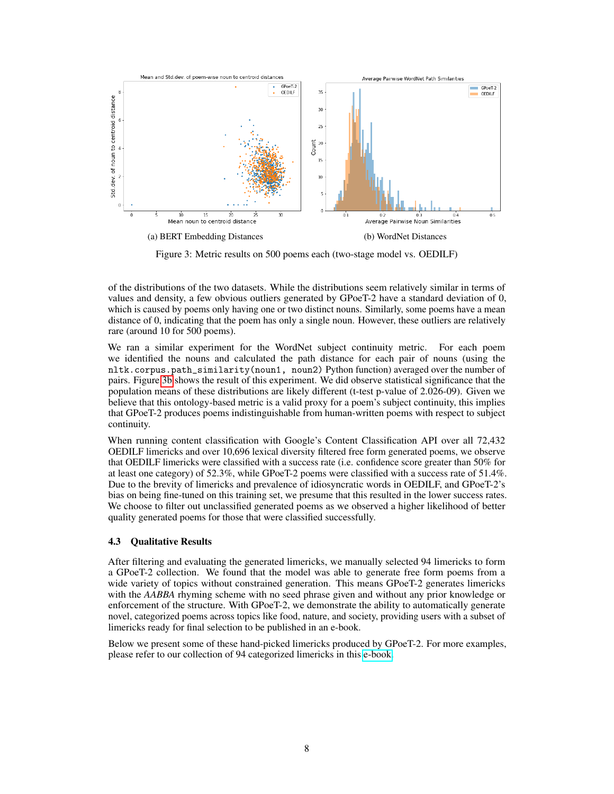<span id="page-7-0"></span>

Figure 3: Metric results on 500 poems each (two-stage model vs. OEDILF)

of the distributions of the two datasets. While the distributions seem relatively similar in terms of values and density, a few obvious outliers generated by GPoeT-2 have a standard deviation of 0, which is caused by poems only having one or two distinct nouns. Similarly, some poems have a mean distance of 0, indicating that the poem has only a single noun. However, these outliers are relatively rare (around 10 for 500 poems).

We ran a similar experiment for the WordNet subject continuity metric. For each poem we identified the nouns and calculated the path distance for each pair of nouns (using the nltk.corpus.path\_similarity(noun1, noun2) Python function) averaged over the number of pairs. Figure [3b](#page-7-0) shows the result of this experiment. We did observe statistical significance that the population means of these distributions are likely different (t-test p-value of 2.026-09). Given we believe that this ontology-based metric is a valid proxy for a poem's subject continuity, this implies that GPoeT-2 produces poems indistinguishable from human-written poems with respect to subject continuity.

When running content classification with Google's Content Classification API over all 72,432 OEDILF limericks and over 10,696 lexical diversity filtered free form generated poems, we observe that OEDILF limericks were classified with a success rate (i.e. confidence score greater than 50% for at least one category) of 52.3%, while GPoeT-2 poems were classified with a success rate of 51.4%. Due to the brevity of limericks and prevalence of idiosyncratic words in OEDILF, and GPoeT-2's bias on being fine-tuned on this training set, we presume that this resulted in the lower success rates. We choose to filter out unclassified generated poems as we observed a higher likelihood of better quality generated poems for those that were classified successfully.

## 4.3 Qualitative Results

After filtering and evaluating the generated limericks, we manually selected 94 limericks to form a GPoeT-2 collection. We found that the model was able to generate free form poems from a wide variety of topics without constrained generation. This means GPoeT-2 generates limericks with the *AABBA* rhyming scheme with no seed phrase given and without any prior knowledge or enforcement of the structure. With GPoeT-2, we demonstrate the ability to automatically generate novel, categorized poems across topics like food, nature, and society, providing users with a subset of limericks ready for final selection to be published in an e-book.

Below we present some of these hand-picked limericks produced by GPoeT-2. For more examples, please refer to our collection of 94 categorized limericks in this [e-book.](https://docs.google.com/document/d/1SOekzdPvMrQO9vADkFoHeuIa4zPKk7sBh7CW6hSyxS0/edit)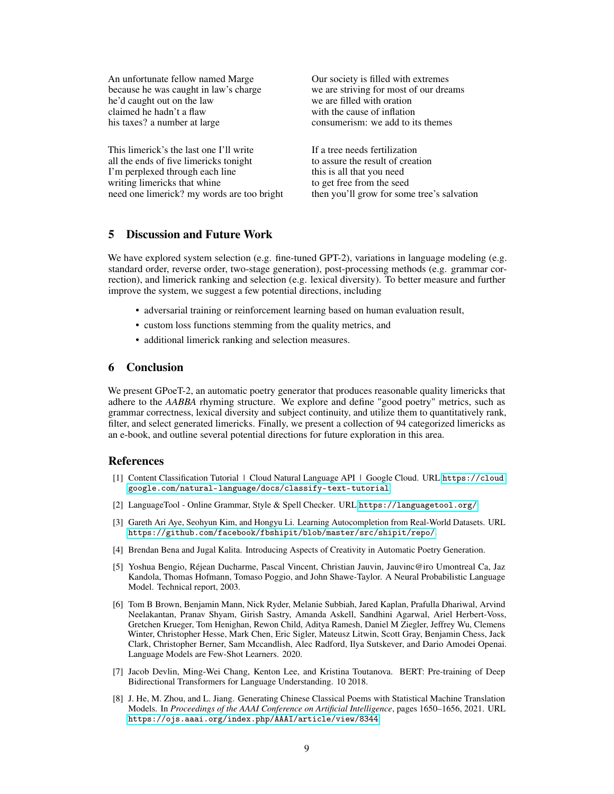| An unfortunate fellow named Marge          | Our society is filled with extremes        |
|--------------------------------------------|--------------------------------------------|
| because he was caught in law's charge      | we are striving for most of our dreams     |
| he'd caught out on the law                 | we are filled with oration                 |
| claimed he hadn't a flaw                   | with the cause of inflation                |
| his taxes? a number at large               | consumerism: we add to its themes          |
| This limerick's the last one I'll write    | If a tree needs fertilization              |
| all the ends of five limericks tonight     | to assure the result of creation           |
| I'm perplexed through each line            | this is all that you need                  |
| writing limericks that whine               | to get free from the seed                  |
| need one limerick? my words are too bright | then you'll grow for some tree's salvation |

# 5 Discussion and Future Work

We have explored system selection (e.g. fine-tuned GPT-2), variations in language modeling (e.g. standard order, reverse order, two-stage generation), post-processing methods (e.g. grammar correction), and limerick ranking and selection (e.g. lexical diversity). To better measure and further improve the system, we suggest a few potential directions, including

- adversarial training or reinforcement learning based on human evaluation result,
- custom loss functions stemming from the quality metrics, and
- additional limerick ranking and selection measures.

### 6 Conclusion

We present GPoeT-2, an automatic poetry generator that produces reasonable quality limericks that adhere to the *AABBA* rhyming structure. We explore and define "good poetry" metrics, such as grammar correctness, lexical diversity and subject continuity, and utilize them to quantitatively rank, filter, and select generated limericks. Finally, we present a collection of 94 categorized limericks as an e-book, and outline several potential directions for future exploration in this area.

## References

- <span id="page-8-7"></span>[1] Content Classification Tutorial | Cloud Natural Language API | Google Cloud. URL [https://cloud.](https://cloud.google.com/natural-language/docs/classify-text-tutorial) [google.com/natural-language/docs/classify-text-tutorial](https://cloud.google.com/natural-language/docs/classify-text-tutorial).
- <span id="page-8-6"></span>[2] LanguageTool - Online Grammar, Style & Spell Checker. URL <https://languagetool.org/>.
- <span id="page-8-5"></span>[3] Gareth Ari Aye, Seohyun Kim, and Hongyu Li. Learning Autocompletion from Real-World Datasets. URL <https://github.com/facebook/fbshipit/blob/master/src/shipit/repo/>.
- <span id="page-8-4"></span>[4] Brendan Bena and Jugal Kalita. Introducing Aspects of Creativity in Automatic Poetry Generation.
- <span id="page-8-0"></span>[5] Yoshua Bengio, Réjean Ducharme, Pascal Vincent, Christian Jauvin, Jauvinc@iro Umontreal Ca, Jaz Kandola, Thomas Hofmann, Tomaso Poggio, and John Shawe-Taylor. A Neural Probabilistic Language Model. Technical report, 2003.
- <span id="page-8-2"></span>[6] Tom B Brown, Benjamin Mann, Nick Ryder, Melanie Subbiah, Jared Kaplan, Prafulla Dhariwal, Arvind Neelakantan, Pranav Shyam, Girish Sastry, Amanda Askell, Sandhini Agarwal, Ariel Herbert-Voss, Gretchen Krueger, Tom Henighan, Rewon Child, Aditya Ramesh, Daniel M Ziegler, Jeffrey Wu, Clemens Winter, Christopher Hesse, Mark Chen, Eric Sigler, Mateusz Litwin, Scott Gray, Benjamin Chess, Jack Clark, Christopher Berner, Sam Mccandlish, Alec Radford, Ilya Sutskever, and Dario Amodei Openai. Language Models are Few-Shot Learners. 2020.
- <span id="page-8-1"></span>[7] Jacob Devlin, Ming-Wei Chang, Kenton Lee, and Kristina Toutanova. BERT: Pre-training of Deep Bidirectional Transformers for Language Understanding. 10 2018.
- <span id="page-8-3"></span>[8] J. He, M. Zhou, and L. Jiang. Generating Chinese Classical Poems with Statistical Machine Translation Models. In *Proceedings of the AAAI Conference on Artificial Intelligence*, pages 1650–1656, 2021. URL <https://ojs.aaai.org/index.php/AAAI/article/view/8344>.